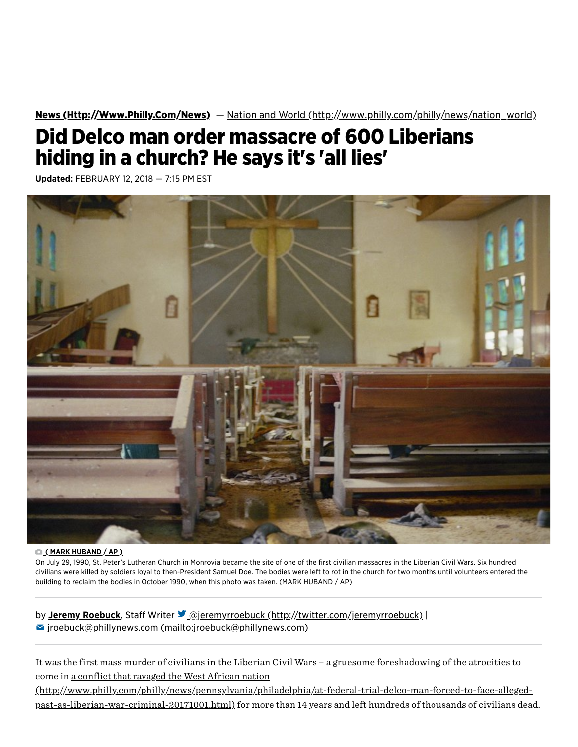News [\(Http://Www.Philly.Com/News\)](http://www.philly.com/news) — Nation and World [\(http://www.philly.com/philly/news/nation\\_world\)](http://www.philly.com/philly/news/nation_world)

# Did Delco man order massacre of 600 Liberians hiding in a church? He says it's 'all lies'

Updated: FEBRUARY 12, 2018 — 7:15 PM EST



#### $O(NARK HUBAND/AP)$

On July 29, 1990, St. Peter's Lutheran Church in Monrovia became the site of one of the first civilian massacres in the Liberian Civil Wars. Six hundred civilians were killed by soldiers loyal to then-President Samuel Doe. The bodies were left to rot in the church for two months until volunteers entered the building to reclaim the bodies in October 1990, when this photo was taken. (MARK HUBAND / AP)

by Jeremy Roebuck, Staff Writer *Dejeremyrroebuck [\(http://twitter.com/jeremyrroebuck\)](http://twitter.com/jeremyrroebuck)* |  $\blacktriangleright$  jroebuck@phillynews.com [\(mailto:jroebuck@phillynews.com\)](mailto:jroebuck@phillynews.com)

It was the first mass murder of civilians in the Liberian Civil Wars – a gruesome foreshadowing of the atrocities to come in a conflict that ravaged the West African nation

(http://www[.philly.com/philly/ne](http://www.philly.com/philly/news/pennsylvania/philadelphia/at-federal-trial-delco-man-forced-to-face-alleged-past-as-liberian-war-criminal-20171001.html)ws/pennsylvania/philadelphia/at-federal-trial-delco-man-forced-to-face-allegedpast-as-liberian-war-criminal-20171001.html) for more than 14 years and left hundreds of thousands of civilians dead.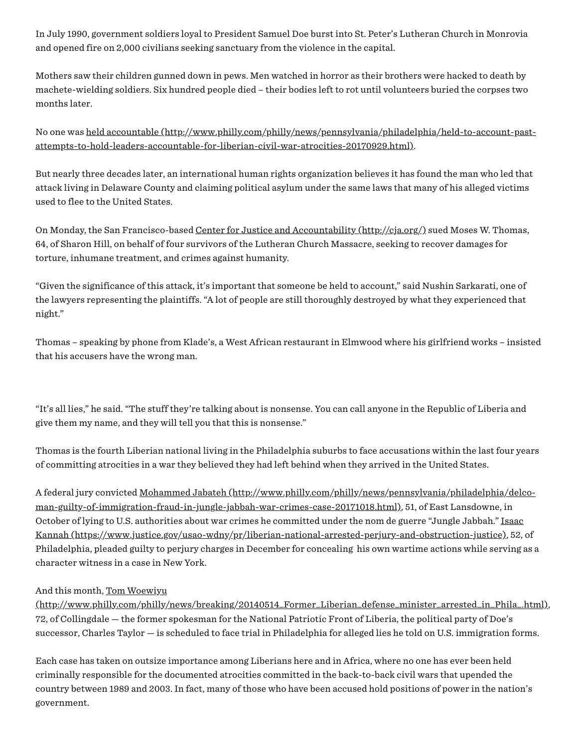In July 1990, government soldiers loyal to President Samuel Doe burst into St. Peter's Lutheran Church in Monrovia and opened fire on 2,000 civilians seeking sanctuary from the violence in the capital.

Mothers saw their children gunned down in pews. Men watched in horror as their brothers were hacked to death by machete-wielding soldiers. Six hundred people died – their bodies left to rot until volunteers buried the corpses two months later.

No one was held accountable (http://www[.philly.com/philly/ne](http://www.philly.com/philly/news/pennsylvania/philadelphia/held-to-account-past-attempts-to-hold-leaders-accountable-for-liberian-civil-war-atrocities-20170929.html)ws/pennsylvania/philadelphia/held-to-account-pastattempts-to-hold-leaders-accountable-for-liberian-civil-war-atrocities-20170929.html).

But nearly three decades later, an international human rights organization believes it has found the man who led that attack living in Delaware County and claiming political asylum under the same laws that many of his alleged victims used to flee to the United States.

On Monday, the San Francisco-based Center for Justice and Accountability [\(http://cja.o](http://cja.org/)rg/) sued Moses W. Thomas, 64, of Sharon Hill, on behalf of four survivors of the Lutheran Church Massacre, seeking to recover damages for torture, inhumane treatment, and crimes against humanity.

"Given the significance of this attack, it's important that someone be held to account," said Nushin Sarkarati, one of the lawyers representing the plaintiffs. "A lot of people are still thoroughly destroyed by what they experienced that night."

Thomas – speaking by phone from Klade's, a West African restaurant in Elmwood where his girlfriend works – insisted that his accusers have the wrong man.

"It's all lies," he said. "The stuff they're talking about is nonsense. You can call anyone in the Republic of Liberia and give them my name, and they will tell you that this is nonsense."

Thomas is the fourth Liberian national living in the Philadelphia suburbs to face accusations within the last four years of committing atrocities in a war they believed they had left behind when they arrived in the United States.

A federal jury convicted Mohammed Jabateh (http://www[.philly.com/philly/ne](http://www.philly.com/philly/news/pennsylvania/philadelphia/delco-man-guilty-of-immigration-fraud-in-jungle-jabbah-war-crimes-case-20171018.html)ws/pennsylvania/philadelphia/delcoman-guilty-of-immigration-fraud-in-jungle-jabbah-war-crimes-case-20171018.html), 51, of East Lansdowne, in October of lying to U.S. authorities about war crimes he committed under the nom de guerre "Jungle Jabbah." Isaac Kannah (https://www.justice.gov/usao-wdny/pr/liber[ian-national-a](https://www.justice.gov/usao-wdny/pr/liberian-national-arrested-perjury-and-obstruction-justice)rrested-perjury-and-obstruction-justice), 52, of Philadelphia, pleaded guilty to perjury charges in December for concealing his own wartime actions while serving as a character witness in a case in New York.

#### And this month, Tom Woewiyu

(http://www[.philly.com/philly/ne](http://www.philly.com/philly/news/breaking/20140514_Former_Liberian_defense_minister_arrested_in_Phila_.html)ws/breaking/20140514\_Former\_Liberian\_defense\_minister\_arrested\_in\_Phila\_.html), 72, of Collingdale — the former spokesman for the National Patriotic Front of Liberia, the political party of Doe's successor, Charles Taylor — is scheduled to face trial in Philadelphia for alleged lies he told on U.S. immigration forms.

Each case has taken on outsize importance among Liberians here and in Africa, where no one has ever been held criminally responsible for the documented atrocities committed in the back-to-back civil wars that upended the country between 1989 and 2003. In fact, many of those who have been accused hold positions of power in the nation's government.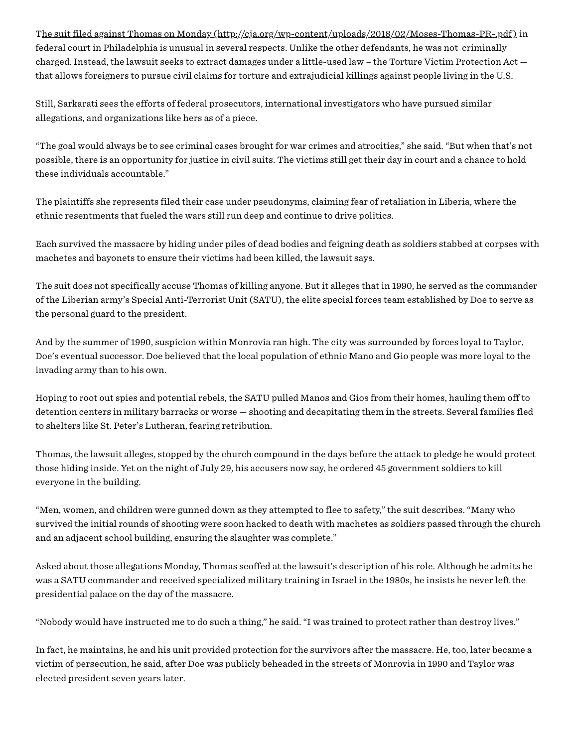The suit filed against Thomas on Monday [\(http://cja.o](http://cja.org/wp-content/uploads/2018/02/Moses-Thomas-PR-.pdf)rg/wp-content/uploads/2018/02/Moses-Thomas-PR-.pdf) in federal court in Philadelphia is unusual in several respects. Unlike the other defendants, he was not criminally charged. Instead, the lawsuit seeks to extract damages under a little-used law – the Torture Victim Protection Act that allows foreigners to pursue civil claims for torture and extrajudicial killings against people living in the U.S.

Still, Sarkarati sees the efforts of federal prosecutors, international investigators who have pursued similar allegations, and organizations like hers as of a piece.

"The goal would always be to see criminal cases brought for war crimes and atrocities," she said. "But when that's not possible, there is an opportunity for justice in civil suits. The victims still get their day in court and a chance to hold these individuals accountable."

The plaintiffs she represents filed their case under pseudonyms, claiming fear of retaliation in Liberia, where the ethnic resentments that fueled the wars still run deep and continue to drive politics.

Each survived the massacre by hiding under piles of dead bodies and feigning death as soldiers stabbed at corpses with machetes and bayonets to ensure their victims had been killed, the lawsuit says.

The suit does not specifically accuse Thomas of killing anyone. But it alleges that in 1990, he served as the commander of the Liberian army's Special Anti-Terrorist Unit (SATU), the elite special forces team established by Doe to serve as the personal guard to the president.

And by the summer of 1990, suspicion within Monrovia ran high. The city was surrounded by forces loyal to Taylor, Doe's eventual successor. Doe believed that the local population of ethnic Mano and Gio people was more loyal to the invading army than to his own.

Hoping to root out spies and potential rebels, the SATU pulled Manos and Gios from their homes, hauling them off to detention centers in military barracks or worse — shooting and decapitating them in the streets. Several families fled to shelters like St. Peter's Lutheran, fearing retribution.

Thomas, the lawsuit alleges, stopped by the church compound in the days before the attack to pledge he would protect those hiding inside. Yet on the night of July 29, his accusers now say, he ordered 45 government soldiers to kill everyone in the building.

"Men, women, and children were gunned down as they attempted to flee to safety," the suit describes. "Many who survived the initial rounds of shooting were soon hacked to death with machetes as soldiers passed through the church and an adjacent school building, ensuring the slaughter was complete."

Asked about those allegations Monday, Thomas scoffed at the lawsuit's description of his role. Although he admits he was a SATU commander and received specialized military training in Israel in the 1980s, he insists he never left the presidential palace on the day of the massacre.

"Nobody would have instructed me to do such a thing," he said. "I was trained to protect rather than destroy lives."

In fact, he maintains, he and his unit provided protection for the survivors after the massacre. He, too, later became a victim of persecution, he said, after Doe was publicly beheaded in the streets of Monrovia in 1990 and Taylor was elected president seven years later.